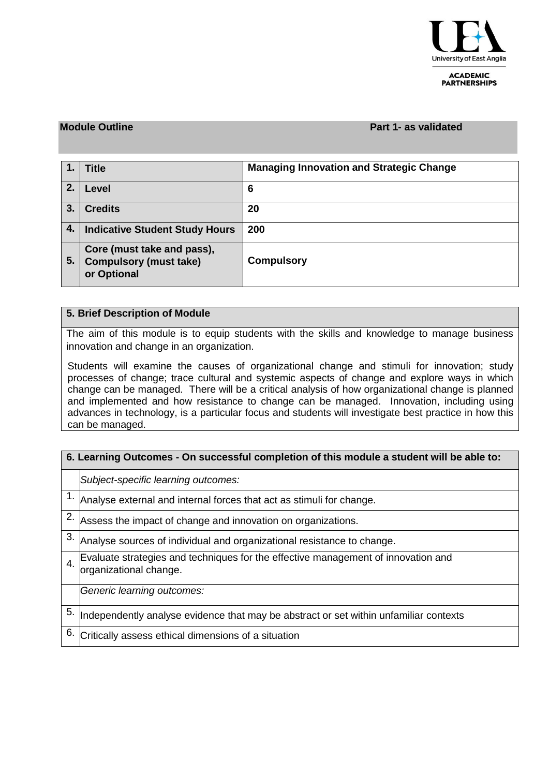

**ACADEMIC PARTNERSHIPS** 

### **Module Outline Part 1- as validated**

| 1.1 | <b>Title</b>                                                               | <b>Managing Innovation and Strategic Change</b> |
|-----|----------------------------------------------------------------------------|-------------------------------------------------|
| 2.  | Level                                                                      | 6                                               |
| 3.  | <b>Credits</b>                                                             | 20                                              |
| 4.  | <b>Indicative Student Study Hours</b>                                      | 200                                             |
| 5.  | Core (must take and pass),<br><b>Compulsory (must take)</b><br>or Optional | <b>Compulsory</b>                               |

## **5. Brief Description of Module**

The aim of this module is to equip students with the skills and knowledge to manage business innovation and change in an organization.

Students will examine the causes of organizational change and stimuli for innovation; study processes of change; trace cultural and systemic aspects of change and explore ways in which change can be managed. There will be a critical analysis of how organizational change is planned and implemented and how resistance to change can be managed. Innovation, including using advances in technology, is a particular focus and students will investigate best practice in how this can be managed.

| 6. Learning Outcomes - On successful completion of this module a student will be able to: |                                                                                                             |  |  |  |  |  |  |
|-------------------------------------------------------------------------------------------|-------------------------------------------------------------------------------------------------------------|--|--|--|--|--|--|
|                                                                                           | Subject-specific learning outcomes:                                                                         |  |  |  |  |  |  |
|                                                                                           | 1. $\Box$ Analyse external and internal forces that act as stimuli for change.                              |  |  |  |  |  |  |
|                                                                                           | 2. $\overline{A}$ Assess the impact of change and innovation on organizations.                              |  |  |  |  |  |  |
| 3.                                                                                        | Analyse sources of individual and organizational resistance to change.                                      |  |  |  |  |  |  |
| $\overline{4}$ .                                                                          | Evaluate strategies and techniques for the effective management of innovation and<br>organizational change. |  |  |  |  |  |  |
|                                                                                           | Generic learning outcomes:                                                                                  |  |  |  |  |  |  |
| 5.                                                                                        | Independently analyse evidence that may be abstract or set within unfamiliar contexts                       |  |  |  |  |  |  |
| 6.                                                                                        | Critically assess ethical dimensions of a situation                                                         |  |  |  |  |  |  |